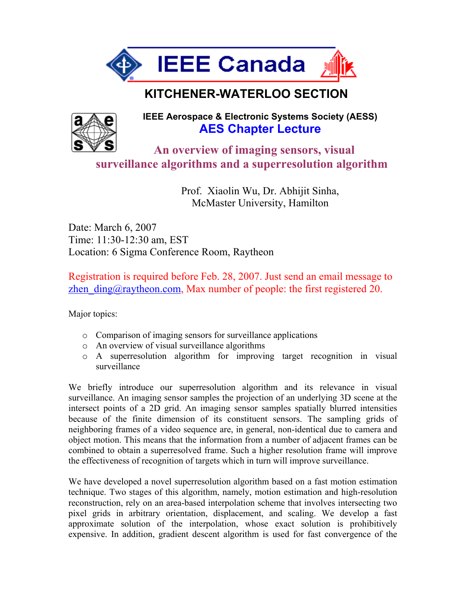

## **KITCHENER-WATERLOO SECTION**



**IEEE Aerospace & Electronic Systems Society (AESS) AES Chapter Lecture**

 **An overview of imaging sensors, visual surveillance algorithms and a superresolution algorithm** 

> Prof. Xiaolin Wu, Dr. Abhijit Sinha, McMaster University, Hamilton

Date: March 6, 2007 Time: 11:30-12:30 am, EST Location: 6 Sigma Conference Room, Raytheon

Registration is required before Feb. 28, 2007. Just send an email message to zhen  $\text{ding}(\hat{\omega})$ raytheon.com, Max number of people: the first registered 20.

Major topics:

- o Comparison of imaging sensors for surveillance applications
- o An overview of visual surveillance algorithms
- o A superresolution algorithm for improving target recognition in visual surveillance

We briefly introduce our superresolution algorithm and its relevance in visual surveillance. An imaging sensor samples the projection of an underlying 3D scene at the intersect points of a 2D grid. An imaging sensor samples spatially blurred intensities because of the finite dimension of its constituent sensors. The sampling grids of neighboring frames of a video sequence are, in general, non-identical due to camera and object motion. This means that the information from a number of adjacent frames can be combined to obtain a superresolved frame. Such a higher resolution frame will improve the effectiveness of recognition of targets which in turn will improve surveillance.

We have developed a novel superresolution algorithm based on a fast motion estimation technique. Two stages of this algorithm, namely, motion estimation and high-resolution reconstruction, rely on an area-based interpolation scheme that involves intersecting two pixel grids in arbitrary orientation, displacement, and scaling. We develop a fast approximate solution of the interpolation, whose exact solution is prohibitively expensive. In addition, gradient descent algorithm is used for fast convergence of the